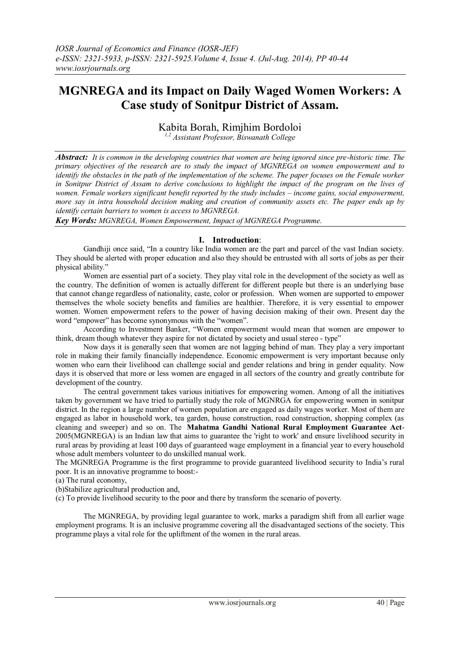# **MGNREGA and its Impact on Daily Waged Women Workers: A Case study of Sonitpur District of Assam.**

Kabita Borah, Rimjhim Bordoloi

*1,2 Assistant Professor, Biswanath College*

*Abstract: It is common in the developing countries that women are being ignored since pre-historic time. The primary objectives of the research are to study the impact of MGNREGA on women empowerment and to identify the obstacles in the path of the implementation of the scheme. The paper focuses on the Female worker in Sonitpur District of Assam to derive conclusions to highlight the impact of the program on the lives of women. Female workers significant benefit reported by the study includes – income gains, social empowerment, more say in intra household decision making and creation of community assets etc. The paper ends up by identify certain barriers to women is access to MGNREGA.*

*Key Words: MGNREGA, Women Empowerment, Impact of MGNREGA Programme.*

### **I. Introduction**:

Gandhiji once said, "In a country like India women are the part and parcel of the vast Indian society. They should be alerted with proper education and also they should be entrusted with all sorts of jobs as per their physical ability."

Women are essential part of a society. They play vital role in the development of the society as well as the country. The definition of women is actually different for different people but there is an underlying base that cannot change regardless of nationality, caste, color or profession. When women are supported to empower themselves the whole society benefits and families are healthier. Therefore, it is very essential to empower women. Women empowerment refers to the power of having decision making of their own. Present day the word "empower" has become synonymous with the "women".

According to Investment Banker, "Women empowerment would mean that women are empower to think, dream though whatever they aspire for not dictated by society and usual stereo - type"

Now days it is generally seen that women are not lagging behind of man. They play a very important role in making their family financially independence. Economic empowerment is very important because only women who earn their livelihood can challenge social and gender relations and bring in gender equality. Now days it is observed that more or less women are engaged in all sectors of the country and greatly contribute for development of the country.

The central government takes various initiatives for empowering women. Among of all the initiatives taken by government we have tried to partially study the role of MGNRGA for empowering women in sonitpur district. In the region a large number of women population are engaged as daily wages worker. Most of them are engaged as labor in household work, tea garden, house construction, road construction, shopping complex (as cleaning and sweeper) and so on. The **Mahatma Gandhi National Rural Employment Guarantee Act**-2005(MGNREGA) is an [Indian law](http://en.wikipedia.org/wiki/Law_of_India) that aims to guarantee the ['right to work'](http://en.wikipedia.org/wiki/Right_to_work) and ensure livelihood security in rural areas by providing at least 100 days of guaranteed wage employment in a financial year to every household whose adult members volunteer to do unskilled manual work.

The MGNREGA Programme is the first programme to provide guaranteed livelihood security to India's rural poor. It is an innovative programme to boost:-

(a) The rural economy,

(b)Stabilize agricultural production and,

(c) To provide livelihood security to the poor and there by transform the scenario of poverty.

The MGNREGA, by providing legal guarantee to work, marks a paradigm shift from all earlier wage employment programs. It is an inclusive programme covering all the disadvantaged sections of the society. This programme plays a vital role for the upliftment of the women in the rural areas.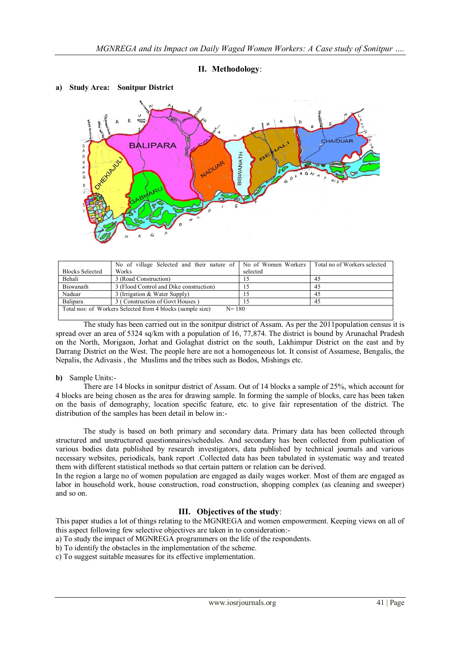## **II. Methodology**:



#### **a) Study Area: Sonitpur District**

|                                                                         | No of village Selected and their nature of No of Women Workers |               | Total no of Workers selected |
|-------------------------------------------------------------------------|----------------------------------------------------------------|---------------|------------------------------|
| <b>Blocks Selected</b>                                                  | Works                                                          | selected      |                              |
| Behali                                                                  | 3 (Road Construction)                                          | $\mathcal{D}$ | 45                           |
| Biswanath                                                               | 3 (Flood Control and Dike construction)                        | C             | 45                           |
| Naduar                                                                  | 3 (Irrigation & Water Supply)                                  | $\mathcal{D}$ | 45                           |
| Balipara                                                                | 3 (Construction of Govt Houses)                                |               | 45                           |
| Total nos: of Workers Selected from 4 blocks (sample size)<br>$N = 180$ |                                                                |               |                              |

The study has been carried out in the sonitpur district of Assam. As per the 2011population census it is spread over an area of 5324 sq/km with a population of 16, 77,874. The district is bound by Arunachal Pradesh on the North, Morigaon, Jorhat and Golaghat district on the south, Lakhimpur District on the east and by Darrang District on the West. The people here are not a homogeneous lot. It consist of Assamese, Bengalis, the Nepalis, the Adivasis , the Muslims and the tribes such as Bodos, Mishings etc.

#### **b)** Sample Units:-

There are 14 blocks in sonitpur district of Assam. Out of 14 blocks a sample of 25%, which account for 4 blocks are being chosen as the area for drawing sample. In forming the sample of blocks, care has been taken on the basis of demography, location specific feature, etc. to give fair representation of the district. The distribution of the samples has been detail in below in:-

The study is based on both primary and secondary data. Primary data has been collected through structured and unstructured questionnaires/schedules. And secondary has been collected from publication of various bodies data published by research investigators, data published by technical journals and various necessary websites, periodicals, bank report .Collected data has been tabulated in systematic way and treated them with different statistical methods so that certain pattern or relation can be derived.

In the region a large no of women population are engaged as daily wages worker. Most of them are engaged as labor in household work, house construction, road construction, shopping complex (as cleaning and sweeper) and so on.

### **III. Objectives of the study**:

This paper studies a lot of things relating to the MGNREGA and women empowerment. Keeping views on all of this aspect following few selective objectives are taken in to consideration:-

a) To study the impact of MGNREGA programmers on the life of the respondents.

b) To identify the obstacles in the implementation of the scheme.

c) To suggest suitable measures for its effective implementation.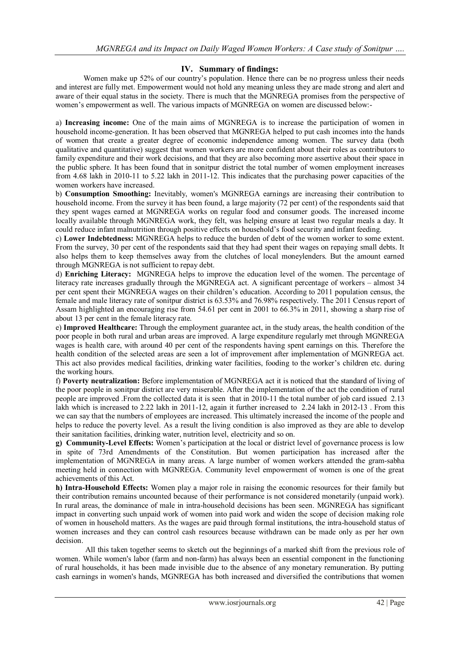## **IV. Summary of findings:**

Women make up 52% of our country's population. Hence there can be no progress unless their needs and interest are fully met. Empowerment would not hold any meaning unless they are made strong and alert and aware of their equal status in the society. There is much that the MGNREGA promises from the perspective of women's empowerment as well. The various impacts of MGNREGA on women are discussed below:-

a) **Increasing income:** One of the main aims of MGNREGA is to increase the participation of women in household income-generation. It has been observed that MGNREGA helped to put cash incomes into the hands of women that create a greater degree of economic independence among women. The survey data (both qualitative and quantitative) suggest that women workers are more confident about their roles as contributors to family expenditure and their work decisions, and that they are also becoming more assertive about their space in the public sphere. It has been found that in sonitpur district the total number of women employment increases from 4.68 lakh in 2010-11 to 5.22 lakh in 2011-12. This indicates that the purchasing power capacities of the women workers have increased.

b) **Consumption Smoothing:** Inevitably, women's MGNREGA earnings are increasing their contribution to household income. From the survey it has been found, a large majority (72 per cent) of the respondents said that they spent wages earned at MGNREGA works on regular food and consumer goods. The increased income locally available through MGNREGA work, they felt, was helping ensure at least two regular meals a day. It could reduce infant malnutrition through positive effects on household's food security and infant feeding.

c) **Lower Indebtedness:** MGNREGA helps to reduce the burden of debt of the women worker to some extent. From the survey, 30 per cent of the respondents said that they had spent their wages on repaying small debts. It also helps them to keep themselves away from the clutches of local moneylenders. But the amount earned through MGNREGA is not sufficient to repay debt.

d) **Enriching Literacy:** MGNREGA helps to improve the education level of the women. The percentage of literacy rate increases gradually through the MGNREGA act. A significant percentage of workers – almost 34 per cent spent their MGNREGA wages on their children's education. According to 2011 population census, the female and male literacy rate of sonitpur district is 63.53% and 76.98% respectively. The 2011 Census report of Assam highlighted an encouraging rise from 54.61 per cent in 2001 to 66.3% in 2011, showing a sharp rise of about 13 per cent in the female literacy rate.

e) **Improved Healthcare:** Through the employment guarantee act, in the study areas, the health condition of the poor people in both rural and urban areas are improved. A large expenditure regularly met through MGNREGA wages is health care, with around 40 per cent of the respondents having spent earnings on this. Therefore the health condition of the selected areas are seen a lot of improvement after implementation of MGNREGA act. This act also provides medical facilities, drinking water facilities, fooding to the worker's children etc. during the working hours.

f) **Poverty neutralization:** Before implementation of MGNREGA act it is noticed that the standard of living of the poor people in sonitpur district are very miserable. After the implementation of the act the condition of rural people are improved .From the collected data it is seen that in 2010-11 the total number of job card issued 2.13 lakh which is increased to 2.22 lakh in 2011-12, again it further increased to 2.24 lakh in 2012-13. From this we can say that the numbers of employees are increased. This ultimately increased the income of the people and helps to reduce the poverty level. As a result the living condition is also improved as they are able to develop their sanitation facilities, drinking water, nutrition level, electricity and so on.

**g) Community-Level Effects:** Women's participation at the local or district level of governance process is low in spite of 73rd Amendments of the Constitution. But women participation has increased after the implementation of MGNREGA in many areas. A large number of women workers attended the gram-sabha meeting held in connection with MGNREGA. Community level empowerment of women is one of the great achievements of this Act.

**h) Intra-Household Effects:** Women play a major role in raising the economic resources for their family but their contribution remains uncounted because of their performance is not considered monetarily (unpaid work). In rural areas, the dominance of male in intra-household decisions has been seen. MGNREGA has significant impact in converting such unpaid work of women into paid work and widen the scope of decision making role of women in household matters. As the wages are paid through formal institutions, the intra-household status of women increases and they can control cash resources because withdrawn can be made only as per her own decision.

All this taken together seems to sketch out the beginnings of a marked shift from the previous role of women. While women's labor (farm and non-farm) has always been an essential component in the functioning of rural households, it has been made invisible due to the absence of any monetary remuneration. By putting cash earnings in women's hands, MGNREGA has both increased and diversified the contributions that women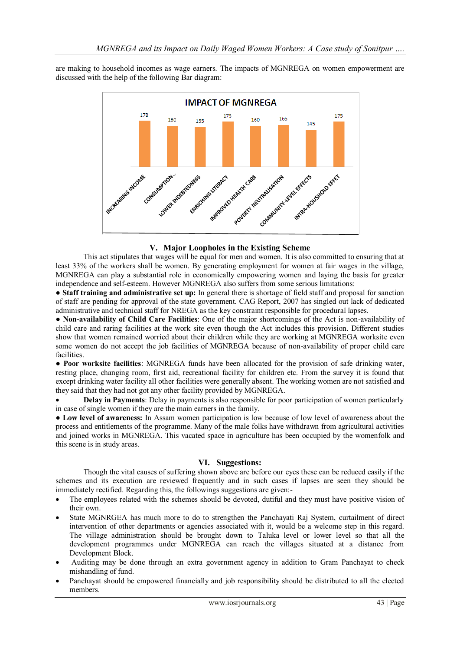are making to household incomes as wage earners. The impacts of MGNREGA on women empowerment are discussed with the help of the following Bar diagram:



# **V. Major Loopholes in the Existing Scheme**

This act stipulates that wages will be equal for men and women. It is also committed to ensuring that at least 33% of the workers shall be women. By generating employment for women at fair wages in the village, MGNREGA can play a substantial role in economically empowering women and laying the basis for greater independence and self-esteem. However MGNREGA also suffers from some serious limitations:

● **Staff training and administrative set up:** In general there is shortage of field staff and proposal for sanction of staff are pending for approval of the state government. CAG Report, 2007 has singled out lack of dedicated administrative and technical staff for NREGA as the key constraint responsible for procedural lapses.

● **Non-availability of Child Care Facilities**: One of the major shortcomings of the Act is non-availability of child care and raring facilities at the work site even though the Act includes this provision. Different studies show that women remained worried about their children while they are working at MGNREGA worksite even some women do not accept the job facilities of MGNREGA because of non-availability of proper child care facilities.

● **Poor worksite facilities**: MGNREGA funds have been allocated for the provision of safe drinking water, resting place, changing room, first aid, recreational facility for children etc. From the survey it is found that except drinking water facility all other facilities were generally absent. The working women are not satisfied and they said that they had not got any other facility provided by MGNREGA.

 **Delay in Payments**: Delay in payments is also responsible for poor participation of women particularly in case of single women if they are the main earners in the family.

● **Low level of awareness:** In Assam women participation is low because of low level of awareness about the process and entitlements of the programme. Many of the male folks have withdrawn from agricultural activities and joined works in MGNREGA. This vacated space in agriculture has been occupied by the womenfolk and this scene is in study areas.

# **VI. Suggestions:**

Though the vital causes of suffering shown above are before our eyes these can be reduced easily if the schemes and its execution are reviewed frequently and in such cases if lapses are seen they should be immediately rectified. Regarding this, the followings suggestions are given:-

- The employees related with the schemes should be devoted, dutiful and they must have positive vision of their own.
- State MGNRGEA has much more to do to strengthen the Panchayati Raj System, curtailment of direct intervention of other departments or agencies associated with it, would be a welcome step in this regard. The village administration should be brought down to Taluka level or lower level so that all the development programmes under MGNREGA can reach the villages situated at a distance from Development Block.
- Auditing may be done through an extra government agency in addition to Gram Panchayat to check mishandling of fund.
- Panchayat should be empowered financially and job responsibility should be distributed to all the elected members.